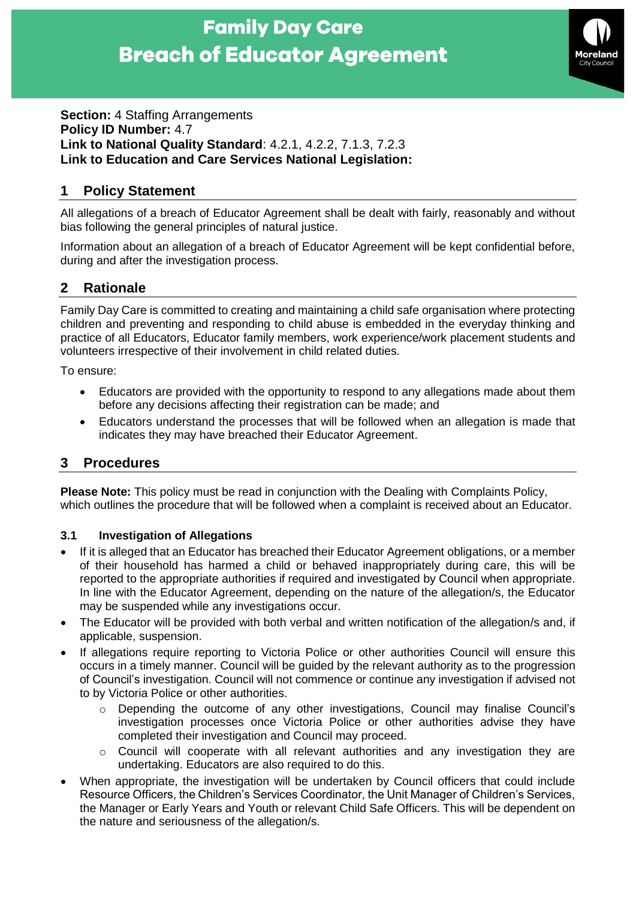# **Family Day Care Breach of Educator Agreement**



#### **Section: 4 Staffing Arrangements Policy ID Number:** 4.7 **Link to National Quality Standard**: 4.2.1, 4.2.2, 7.1.3, 7.2.3 **Link to Education and Care Services National Legislation:**

## **1 Policy Statement**

All allegations of a breach of Educator Agreement shall be dealt with fairly, reasonably and without bias following the general principles of natural justice.

Information about an allegation of a breach of Educator Agreement will be kept confidential before, during and after the investigation process.

### **2 Rationale**

Family Day Care is committed to creating and maintaining a child safe organisation where protecting children and preventing and responding to child abuse is embedded in the everyday thinking and practice of all Educators, Educator family members, work experience/work placement students and volunteers irrespective of their involvement in child related duties.

To ensure:

- Educators are provided with the opportunity to respond to any allegations made about them before any decisions affecting their registration can be made; and
- Educators understand the processes that will be followed when an allegation is made that indicates they may have breached their Educator Agreement.

## **3 Procedures**

**Please Note:** This policy must be read in conjunction with the Dealing with Complaints Policy, which outlines the procedure that will be followed when a complaint is received about an Educator.

#### **3.1 Investigation of Allegations**

- If it is alleged that an Educator has breached their Educator Agreement obligations, or a member of their household has harmed a child or behaved inappropriately during care, this will be reported to the appropriate authorities if required and investigated by Council when appropriate. In line with the Educator Agreement, depending on the nature of the allegation/s, the Educator may be suspended while any investigations occur.
- The Educator will be provided with both verbal and written notification of the allegation/s and, if applicable, suspension.
- If allegations require reporting to Victoria Police or other authorities Council will ensure this occurs in a timely manner. Council will be guided by the relevant authority as to the progression of Council's investigation. Council will not commence or continue any investigation if advised not to by Victoria Police or other authorities.
	- o Depending the outcome of any other investigations, Council may finalise Council's investigation processes once Victoria Police or other authorities advise they have completed their investigation and Council may proceed.
	- o Council will cooperate with all relevant authorities and any investigation they are undertaking. Educators are also required to do this.
- When appropriate, the investigation will be undertaken by Council officers that could include Resource Officers, the Children's Services Coordinator, the Unit Manager of Children's Services, the Manager or Early Years and Youth or relevant Child Safe Officers. This will be dependent on the nature and seriousness of the allegation/s.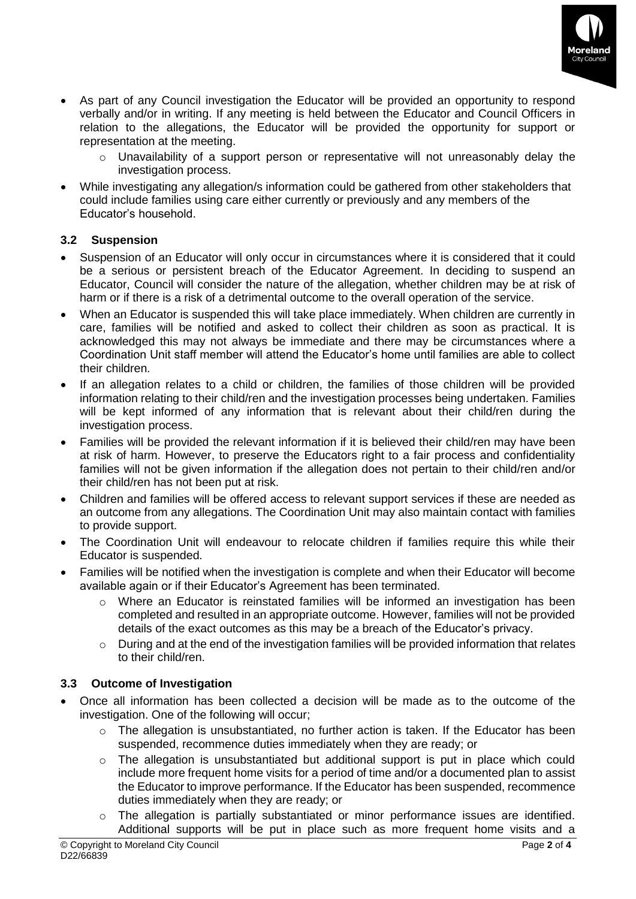

- As part of any Council investigation the Educator will be provided an opportunity to respond verbally and/or in writing. If any meeting is held between the Educator and Council Officers in relation to the allegations, the Educator will be provided the opportunity for support or representation at the meeting.
	- o Unavailability of a support person or representative will not unreasonably delay the investigation process.
- While investigating any allegation/s information could be gathered from other stakeholders that could include families using care either currently or previously and any members of the Educator's household.

#### **3.2 Suspension**

- Suspension of an Educator will only occur in circumstances where it is considered that it could be a serious or persistent breach of the Educator Agreement. In deciding to suspend an Educator, Council will consider the nature of the allegation, whether children may be at risk of harm or if there is a risk of a detrimental outcome to the overall operation of the service.
- When an Educator is suspended this will take place immediately. When children are currently in care, families will be notified and asked to collect their children as soon as practical. It is acknowledged this may not always be immediate and there may be circumstances where a Coordination Unit staff member will attend the Educator's home until families are able to collect their children.
- If an allegation relates to a child or children, the families of those children will be provided information relating to their child/ren and the investigation processes being undertaken. Families will be kept informed of any information that is relevant about their child/ren during the investigation process.
- Families will be provided the relevant information if it is believed their child/ren may have been at risk of harm. However, to preserve the Educators right to a fair process and confidentiality families will not be given information if the allegation does not pertain to their child/ren and/or their child/ren has not been put at risk.
- Children and families will be offered access to relevant support services if these are needed as an outcome from any allegations. The Coordination Unit may also maintain contact with families to provide support.
- The Coordination Unit will endeavour to relocate children if families require this while their Educator is suspended.
- Families will be notified when the investigation is complete and when their Educator will become available again or if their Educator's Agreement has been terminated.
	- o Where an Educator is reinstated families will be informed an investigation has been completed and resulted in an appropriate outcome. However, families will not be provided details of the exact outcomes as this may be a breach of the Educator's privacy.
	- $\circ$  During and at the end of the investigation families will be provided information that relates to their child/ren.

#### **3.3 Outcome of Investigation**

- Once all information has been collected a decision will be made as to the outcome of the investigation. One of the following will occur;
	- $\circ$  The allegation is unsubstantiated, no further action is taken. If the Educator has been suspended, recommence duties immediately when they are ready; or
	- $\circ$  The allegation is unsubstantiated but additional support is put in place which could include more frequent home visits for a period of time and/or a documented plan to assist the Educator to improve performance. If the Educator has been suspended, recommence duties immediately when they are ready; or
	- o The allegation is partially substantiated or minor performance issues are identified. Additional supports will be put in place such as more frequent home visits and a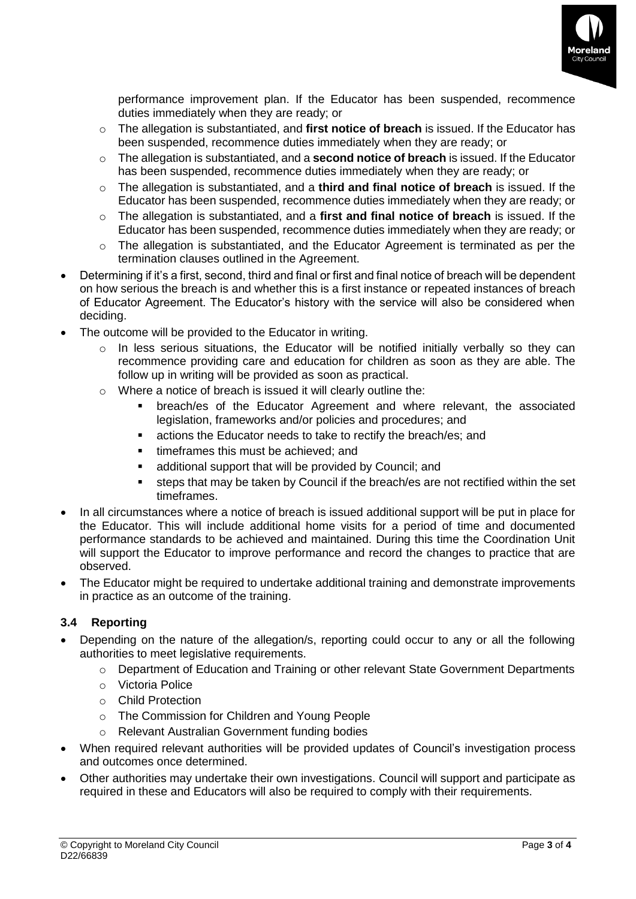

performance improvement plan. If the Educator has been suspended, recommence duties immediately when they are ready; or

- o The allegation is substantiated, and **first notice of breach** is issued. If the Educator has been suspended, recommence duties immediately when they are ready; or
- o The allegation is substantiated, and a **second notice of breach** is issued. If the Educator has been suspended, recommence duties immediately when they are ready; or
- o The allegation is substantiated, and a **third and final notice of breach** is issued. If the Educator has been suspended, recommence duties immediately when they are ready; or
- o The allegation is substantiated, and a **first and final notice of breach** is issued. If the Educator has been suspended, recommence duties immediately when they are ready; or
- o The allegation is substantiated, and the Educator Agreement is terminated as per the termination clauses outlined in the Agreement.
- Determining if it's a first, second, third and final or first and final notice of breach will be dependent on how serious the breach is and whether this is a first instance or repeated instances of breach of Educator Agreement. The Educator's history with the service will also be considered when deciding.
- The outcome will be provided to the Educator in writing.
	- o In less serious situations, the Educator will be notified initially verbally so they can recommence providing care and education for children as soon as they are able. The follow up in writing will be provided as soon as practical.
	- o Where a notice of breach is issued it will clearly outline the:
		- breach/es of the Educator Agreement and where relevant, the associated legislation, frameworks and/or policies and procedures; and
		- actions the Educator needs to take to rectify the breach/es; and
		- **•** timeframes this must be achieved: and
		- additional support that will be provided by Council; and
		- steps that may be taken by Council if the breach/es are not rectified within the set timeframes.
- In all circumstances where a notice of breach is issued additional support will be put in place for the Educator. This will include additional home visits for a period of time and documented performance standards to be achieved and maintained. During this time the Coordination Unit will support the Educator to improve performance and record the changes to practice that are observed.
- The Educator might be required to undertake additional training and demonstrate improvements in practice as an outcome of the training.

#### **3.4 Reporting**

- Depending on the nature of the allegation/s, reporting could occur to any or all the following authorities to meet legislative requirements.
	- o Department of Education and Training or other relevant State Government Departments
	- o Victoria Police
	- o Child Protection
	- o The Commission for Children and Young People
	- o Relevant Australian Government funding bodies
- When required relevant authorities will be provided updates of Council's investigation process and outcomes once determined.
- Other authorities may undertake their own investigations. Council will support and participate as required in these and Educators will also be required to comply with their requirements.